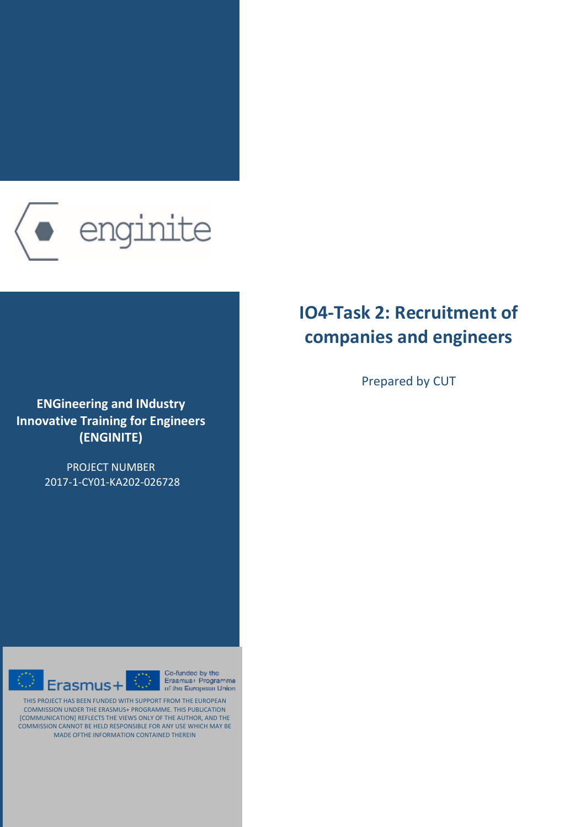

**ENGineering and IΝdustry Innovative Training for Engineers (ENGINITE)**

> PROJECT NUMBER 2017-1-CY01-KA202-026728



Co-funded by the Erasmus+ Programme of the European Union

THIS PROJECT HAS BEEN FUNDED WITH SUPPORT FROM THE EUROPEAN COMMISSION UNDER THE ERASMUS+ PROGRAMME. THIS PUBLICATION [COMMUNICATION] REFLECTS THE VIEWS ONLY OF THE AUTHOR, AND THE COMMISSION CANNOT BE HELD RESPONSIBLE FOR ANY USE WHICH MAY BE MADE OFTHE INFORMATION CONTAINED THEREIN

 $\overline{\mathbb{O}}$ 

# **IO4-Task 2: Recruitment of companies and engineers**

Prepared by CUT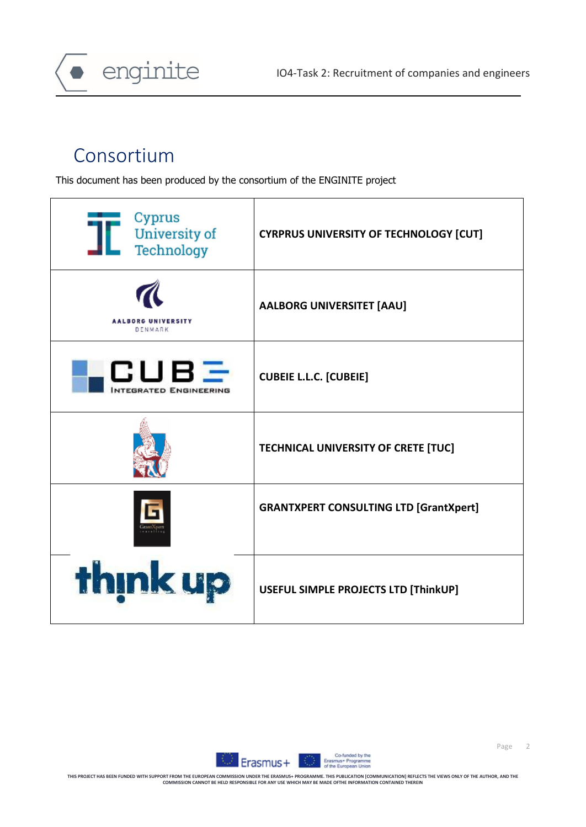

# Consortium

This document has been produced by the consortium of the ENGINITE project

| Cyprus<br><b>University of</b><br>Technology | <b>CYRPRUS UNIVERSITY OF TECHNOLOGY [CUT]</b> |
|----------------------------------------------|-----------------------------------------------|
| <b>AALBORG UNIVERSITY</b><br>DENMARK         | <b>AALBORG UNIVERSITET [AAU]</b>              |
| CUBE<br>NTEGRATED ENGINEERING                | <b>CUBEIE L.L.C. [CUBEIE]</b>                 |
|                                              | TECHNICAL UNIVERSITY OF CRETE [TUC]           |
|                                              | <b>GRANTXPERT CONSULTING LTD [GrantXpert]</b> |
| think up                                     | USEFUL SIMPLE PROJECTS LTD [ThinkUP]          |



Page 2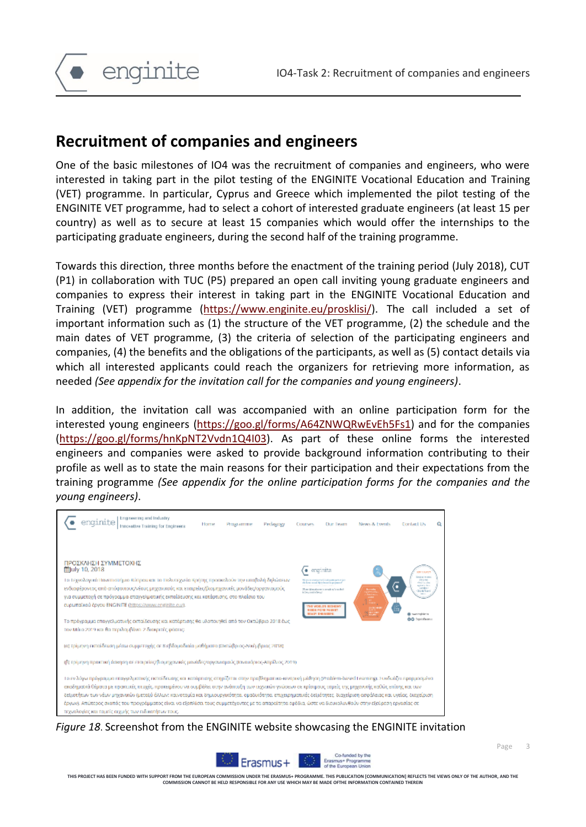

# **Recruitment of companies and engineers**

One of the basic milestones of IO4 was the recruitment of companies and engineers, who were interested in taking part in the pilot testing of the ENGINITE Vocational Education and Training (VET) programme. In particular, Cyprus and Greece which implemented the pilot testing of the ENGINITE VET programme, had to select a cohort of interested graduate engineers (at least 15 per country) as well as to secure at least 15 companies which would offer the internships to the participating graduate engineers, during the second half of the training programme.

Towards this direction, three months before the enactment of the training period (July 2018), CUT (P1) in collaboration with TUC (P5) prepared an open call inviting young graduate engineers and companies to express their interest in taking part in the ENGINITE Vocational Education and Training (VET) programme [\(https://www.enginite.eu/prosklisi/\)](https://www.enginite.eu/prosklisi/). The call included a set of important information such as (1) the structure of the VET programme, (2) the schedule and the main dates of VET programme, (3) the criteria of selection of the participating engineers and companies, (4) the benefits and the obligations of the participants, as well as (5) contact details via which all interested applicants could reach the organizers for retrieving more information, as needed *(See appendix for the invitation call for the companies and young engineers)*.

In addition, the invitation call was accompanied with an online participation form for the interested young engineers [\(https://goo.gl/forms/A64ZNWQRwEvEh5Fs1\)](https://goo.gl/forms/A64ZNWQRwEvEh5Fs1) and for the companies [\(https://goo.gl/forms/hnKpNT2Vvdn1Q4I03\)](https://goo.gl/forms/hnKpNT2Vvdn1Q4I03). As part of these online forms the interested engineers and companies were asked to provide background information contributing to their profile as well as to state the main reasons for their participation and their expectations from the training programme *(See appendix for the online participation forms for the companies and the young engineers)*.

| Engineering and Industry<br>Pedaggay<br>Ногти<br>Programme<br>Innovative Training for Engineers                                                                                                                                                                                                                                                                                                                                                                                                                                                                                                                                                                                                                | Соотмен<br><b>Our Team</b>                                                                                                                             | <b>News &amp; Events</b> | ۵<br>Contact Us                                                                                                                                             |
|----------------------------------------------------------------------------------------------------------------------------------------------------------------------------------------------------------------------------------------------------------------------------------------------------------------------------------------------------------------------------------------------------------------------------------------------------------------------------------------------------------------------------------------------------------------------------------------------------------------------------------------------------------------------------------------------------------------|--------------------------------------------------------------------------------------------------------------------------------------------------------|--------------------------|-------------------------------------------------------------------------------------------------------------------------------------------------------------|
| ΠΡΟΣΚΛΗΣΗ ΣΥΜΜΕΤΟΧΗΣ<br>館July 10, 2018<br>Το Τεχνολογικό Πανεπιστήμιο Κύπρου και το Πολυτεχνείο Κρήτης προσκολούν την υπαβολή δηλώσεων<br>ενδιαφέροντας από απόφοιτους/νέους μηχανικούς και επαιρείες/βιομηχανικές μονάδες/οργανισμούς-<br>για συμμετοχή σε πρόγραμμα επαγγελματικής εκπαίδευσης και κατάρτισης, στο πλαίσιο του-<br>cupumplikoù épyou ENGINITE (https://www.enginite.eu/).<br>Το πρόγραμμα επαγγελματικής ακταίδευσης και κατάρτισης θα υλοποιηθεί από τον Οκτώβριο 2018 έως.<br>τον Μάιο 2019 και θα περιλαμβάνει 2 διακριτές φάσεις.                                                                                                                                                        | engrinite<br>Note of a starter or meadow that on R<br>is four prompt to formal<br>HE WORLD'S BOSHOMY<br><b>ESSEX POR PULSES</b><br><b>NOV ENGINEER</b> | <b>The Co</b>            | <b>CROSS LIPS</b><br>Great at in your<br>of a longer<br>died is also<br>aginate desi<br><b>Cambre 1</b><br>-Südelland<br>Seattleweb Market<br>00 Troinfarms |
| (α) τρίμηνη εκπαίδευση μέσω συμμετοχής σε 8 εβδομαδιοίο μαθήματα (Οκτώβριος-Λεκέμβριος 2018).                                                                                                                                                                                                                                                                                                                                                                                                                                                                                                                                                                                                                  |                                                                                                                                                        |                          |                                                                                                                                                             |
| (β) τρίμηνη προκτική όσκηση σε εταιρείες/βιομηχανικές μανάδες/οργανισμούς (Κινουόριος-Απρίλιος 2019).                                                                                                                                                                                                                                                                                                                                                                                                                                                                                                                                                                                                          |                                                                                                                                                        |                          |                                                                                                                                                             |
| Το εν λόγω πρόγραμμα επαγγελματικής εκπαίδευσης και κατάρτισης στηρίζεται στην προβληματικο-κεντρική μάθηση (Problem-based Learning). Συνδυάζει εφορμοσμένα<br>ακοδημαϊκό θέμοια με πρακτικές πισχές, προκειμένου να συμβάλει στην ανόπτυξη των τεχνικών γνώσεων σε κρίσιμους τομείς της μηχανικής καθώς επίσης και των<br>δεξιοτήτων των νέων μηχανικών (μεταξύ άλλων: καινοτομία και δημιουργικότητα, ομαδικότητα, επιχειρηματικές δεξιότητες, διαχείριση ασφάλειας και υγείας, διαχείριση<br>έργων). Απώτερος σκοπός του προγράμματος είναι να εξοπλίσει τους συμμετέχοντες με τα απαραίτητα οφόδια, ώστε να διευκολυνθούν στην εξεύρεση εργασίας σε<br>τεχνολογίες και τομείς σιχμής των ειδικοτήτων τους. |                                                                                                                                                        |                          |                                                                                                                                                             |

*Figure 18*. Screenshot from the ENGINITE website showcasing the ENGINITE invitation



**THIS PROJECT HAS BEEN FUNDED WITH SUPPORT FROM THE EUROPEAN COMMISSION UNDER THE ERASMUS+ PROGRAMME. THIS PUBLICATION [COMMUNICATION] REFLECTS THE VIEWS ONLY OF THE AUTHOR, AND THE COMMISSION CAN COMMISSION CAN ALL CANOTICS AND LOCAL MANY BE MADE OFTHE I**<br>CANNOT BE HELD RESPONSIBLE FOR ANY USE WHICH MAY BE MADE OFTHE I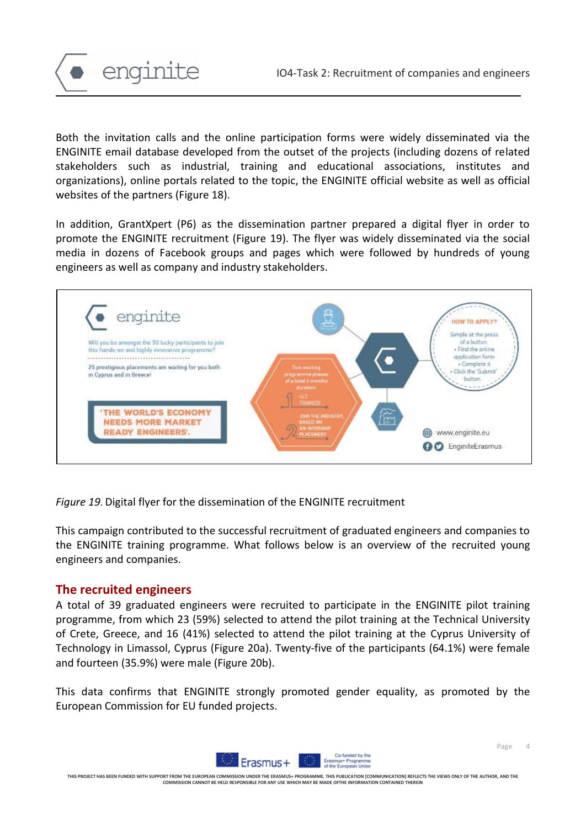

Both the invitation calls and the online participation forms were widely disseminated via the ENGINITE email database developed from the outset of the projects (including dozens of related stakeholders such as industrial, training and educational associations, institutes and organizations), online portals related to the topic, the ENGINITE official website as well as official websites of the partners (Figure 18).

In addition, GrantXpert (P6) as the dissemination partner prepared a digital flyer in order to promote the ENGINITE recruitment (Figure 19). The flyer was widely disseminated via the social media in dozens of Facebook groups and pages which were followed by hundreds of young engineers as well as company and industry stakeholders.



*Figure 19*. Digital flyer for the dissemination of the ENGINITE recruitment

This campaign contributed to the successful recruitment of graduated engineers and companies to the ENGINITE training programme. What follows below is an overview of the recruited young engineers and companies.

# **The recruited engineers**

A total of 39 graduated engineers were recruited to participate in the ENGINITE pilot training programme, from which 23 (59%) selected to attend the pilot training at the Technical University of Crete, Greece, and 16 (41%) selected to attend the pilot training at the Cyprus University of Technology in Limassol, Cyprus (Figure 20a). Twenty-five of the participants (64.1%) were female and fourteen (35.9%) were male (Figure 20b).

This data confirms that ENGINITE strongly promoted gender equality, as promoted by the European Commission for EU funded projects.

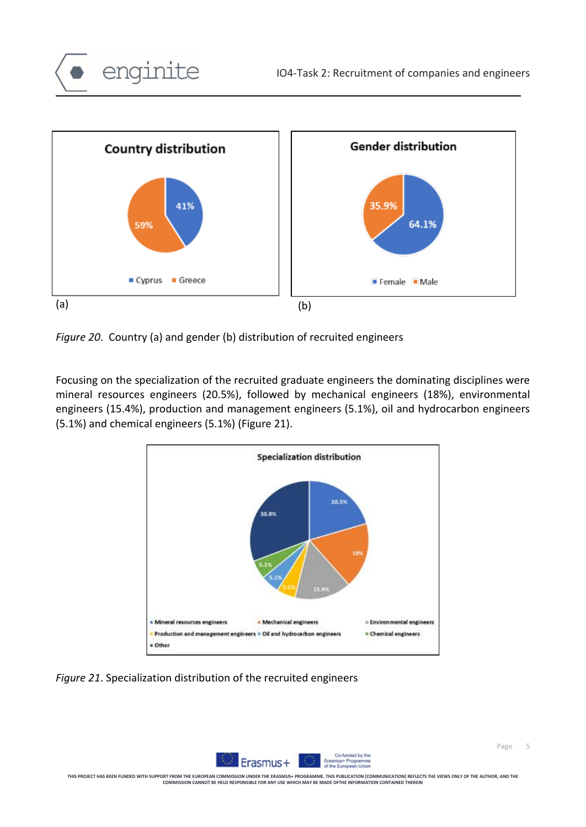

*Figure 20*. Country (a) and gender (b) distribution of recruited engineers

enginite

Focusing on the specialization of the recruited graduate engineers the dominating disciplines were mineral resources engineers (20.5%), followed by mechanical engineers (18%), environmental engineers (15.4%), production and management engineers (5.1%), oil and hydrocarbon engineers (5.1%) and chemical engineers (5.1%) (Figure 21).



*Figure 21*. Specialization distribution of the recruited engineers

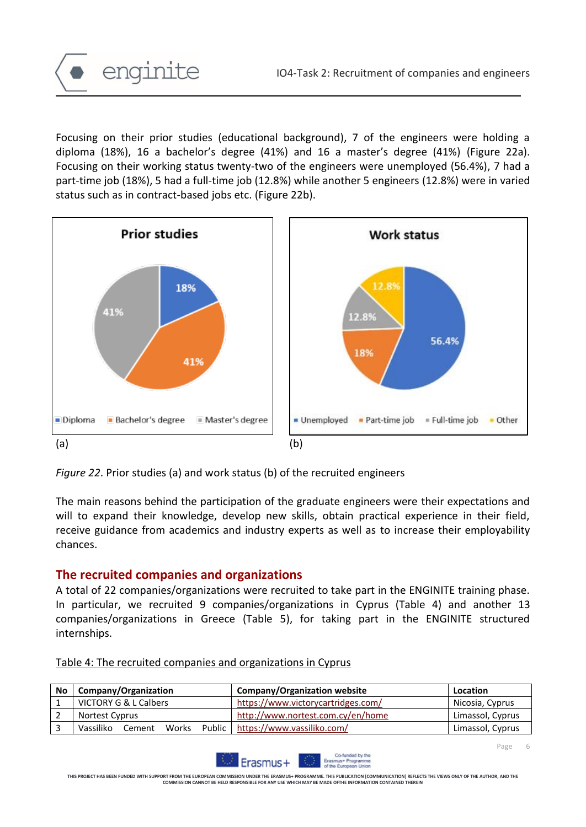Focusing on their prior studies (educational background), 7 of the engineers were holding a diploma (18%), 16 a bachelor's degree (41%) and 16 a master's degree (41%) (Figure 22a). Focusing on their working status twenty-two of the engineers were unemployed (56.4%), 7 had a part-time job (18%), 5 had a full-time job (12.8%) while another 5 engineers (12.8%) were in varied status such as in contract-based jobs etc. (Figure 22b).



*Figure 22*. Prior studies (a) and work status (b) of the recruited engineers

The main reasons behind the participation of the graduate engineers were their expectations and will to expand their knowledge, develop new skills, obtain practical experience in their field, receive guidance from academics and industry experts as well as to increase their employability chances.

# **The recruited companies and organizations**

enginite

A total of 22 companies/organizations were recruited to take part in the ENGINITE training phase. In particular, we recruited 9 companies/organizations in Cyprus (Table 4) and another 13 companies/organizations in Greece (Table 5), for taking part in the ENGINITE structured internships.

| No | Company/Organization         | <b>Company/Organization website</b> | <b>Location</b>  |
|----|------------------------------|-------------------------------------|------------------|
|    | VICTORY G & L Calbers        | https://www.victorycartridges.com/  | Nicosia, Cyprus  |
|    | Nortest Cyprus               | http://www.nortest.com.cy/en/home   | Limassol, Cyprus |
|    | Vassiliko<br>Works<br>Cement | Public   https://www.vassiliko.com/ | Limassol, Cyprus |

#### Table 4: The recruited companies and organizations in Cyprus



**THIS PROJECT HAS BEEN FUNDED WITH SUPPORT FROM THE EUROPEAN COMMISSION UNDER THE ERASMUS+ PROGRAMME. THIS PUBLICATION [COMMUNICATION] REFLECTS THE VIEWS ONLY OF THE AUTHOR, AND THE COMMISSION CANNOT BE HELD RESPONSIBLE FOR ANY USE WHICH MAY BE MADE OFTHE INFORMATION CONTAINED THEREIN**

Page 6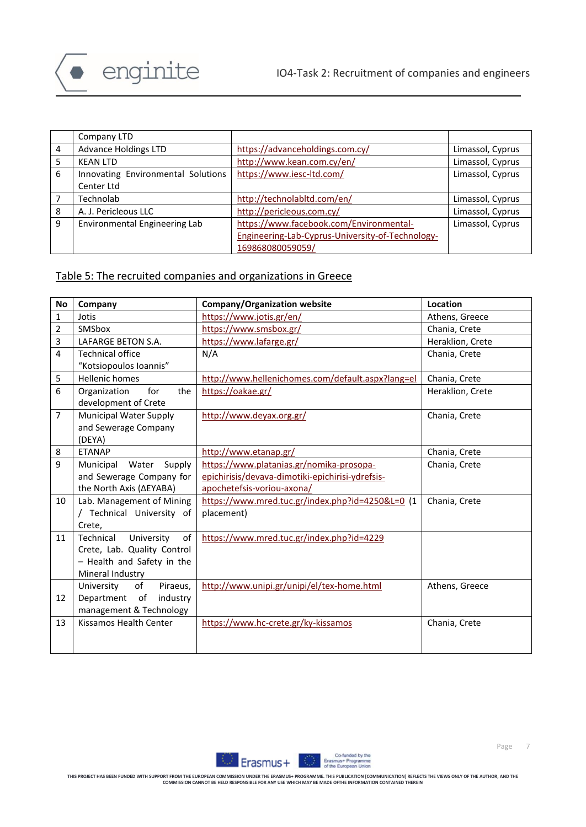

|   | Company LTD                        |                                                  |                  |
|---|------------------------------------|--------------------------------------------------|------------------|
| 4 | <b>Advance Holdings LTD</b>        | https://advanceholdings.com.cy/                  | Limassol, Cyprus |
| 5 | <b>KEAN LTD</b>                    | http://www.kean.com.cy/en/                       | Limassol, Cyprus |
| 6 | Innovating Environmental Solutions | https://www.iesc-ltd.com/                        | Limassol, Cyprus |
|   | Center Ltd                         |                                                  |                  |
|   | Technolab                          | http://technolabitd.com/en/                      | Limassol, Cyprus |
| 8 | A. J. Pericleous LLC               | http://pericleous.com.cy/                        | Limassol, Cyprus |
| 9 | Environmental Engineering Lab      | https://www.facebook.com/Environmental-          | Limassol, Cyprus |
|   |                                    | Engineering-Lab-Cyprus-University-of-Technology- |                  |
|   |                                    | 169868080059059/                                 |                  |

#### Table 5: The recruited companies and organizations in Greece

| <b>No</b>      | Company                                                                                                        | <b>Company/Organization website</b>                                                                                        | Location         |
|----------------|----------------------------------------------------------------------------------------------------------------|----------------------------------------------------------------------------------------------------------------------------|------------------|
| $\mathbf{1}$   | Jotis                                                                                                          | https://www.jotis.gr/en/                                                                                                   | Athens, Greece   |
| $\overline{2}$ | SMSbox                                                                                                         | https://www.smsbox.gr/                                                                                                     | Chania, Crete    |
| $\overline{3}$ | <b>LAFARGE BETON S.A.</b>                                                                                      | https://www.lafarge.gr/                                                                                                    | Heraklion, Crete |
| $\overline{4}$ | <b>Technical office</b><br>"Kotsiopoulos Ioannis"                                                              | N/A                                                                                                                        | Chania, Crete    |
| 5              | <b>Hellenic homes</b>                                                                                          | http://www.hellenichomes.com/default.aspx?lang=el                                                                          | Chania, Crete    |
| 6              | for<br>the<br>Organization<br>development of Crete                                                             | https://oakae.gr/                                                                                                          | Heraklion, Crete |
| $\overline{7}$ | <b>Municipal Water Supply</b><br>and Sewerage Company<br>(DEYA)                                                | http://www.deyax.org.gr/                                                                                                   | Chania, Crete    |
| 8              | <b>ETANAP</b>                                                                                                  | http://www.etanap.gr/                                                                                                      | Chania, Crete    |
| 9              | Water<br>Supply<br>Municipal<br>and Sewerage Company for<br>the North Axis (AEYABA)                            | https://www.platanias.gr/nomika-prosopa-<br>epichirisis/devava-dimotiki-epichirisi-ydrefsis-<br>apochetefsis-voriou-axona/ | Chania, Crete    |
| 10             | Lab. Management of Mining<br>/ Technical University of<br>Crete,                                               | https://www.mred.tuc.gr/index.php?id=4250&L=0 (1<br>placement)                                                             | Chania, Crete    |
| 11             | Technical<br>University<br>of<br>Crete, Lab. Quality Control<br>- Health and Safety in the<br>Mineral Industry | https://www.mred.tuc.gr/index.php?id=4229                                                                                  |                  |
| 12             | University<br>of<br>Piraeus,<br>Department<br>of<br>industry<br>management & Technology                        | http://www.unipi.gr/unipi/el/tex-home.html                                                                                 | Athens, Greece   |
| 13             | Kissamos Health Center                                                                                         | https://www.hc-crete.gr/ky-kissamos                                                                                        | Chania, Crete    |

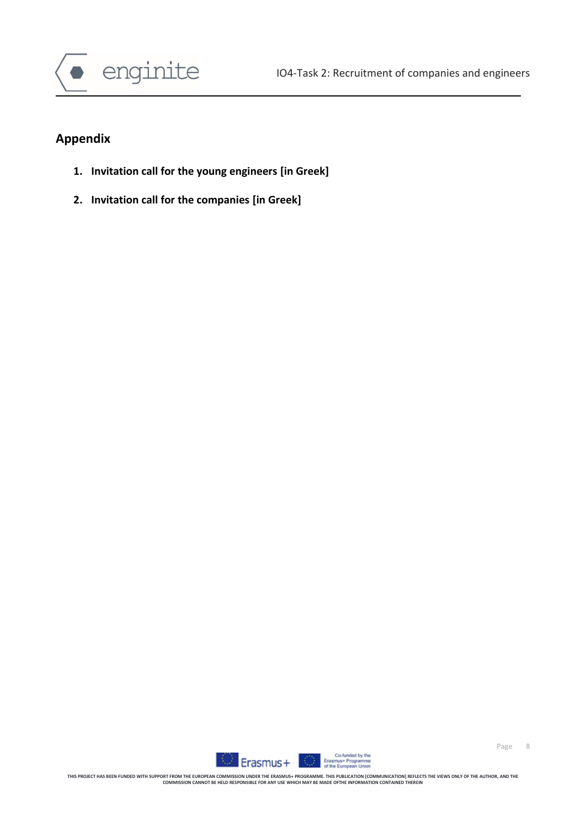

# **Appendix**

- **1. Invitation call for the young engineers [in Greek]**
- **2. Invitation call for the companies [in Greek]**

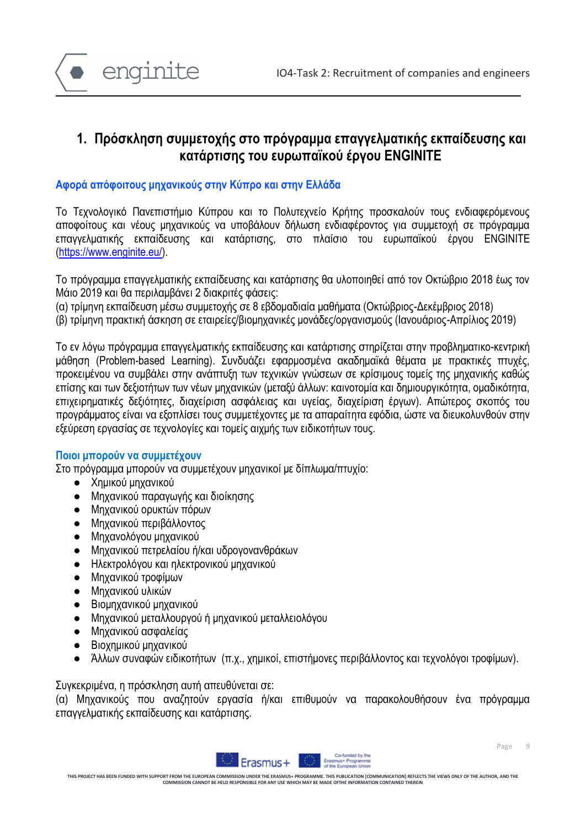

# **1. Πρόσκληση συμμετοχής στο πρόγραμμα επαγγελματικής εκπαίδευσης και κατάρτισης του ευρωπαϊκού έργου ENGINITE**

### **Aφορά απόφοιτους μηχανικούς στην Κύπρο και στην Ελλάδα**

Το Τεχνολογικό Πανεπιστήμιο Κύπρου και το Πολυτεχνείο Κρήτης προσκαλούν τους ενδιαφερόμενους αποφοίτους και νέους μηχανικούς να υποβάλουν δήλωση ενδιαφέροντος για συμμετοχή σε πρόγραμμα επαγγελματικής εκπαίδευσης και κατάρτισης, στο πλαίσιο του ευρωπαϊκού έργου ENGINITE [\(https://www.enginite.eu/\)](https://www.enginite.eu/).

Το πρόγραμμα επαγγελματικής εκπαίδευσης και κατάρτισης θα υλοποιηθεί από τον Οκτώβριο 2018 έως τον Μάιο 2019 και θα περιλαμβάνει 2 διακριτές φάσεις:

(α) τρίμηνη εκπαίδευση μέσω συμμετοχής σε 8 εβδομαδιαία μαθήματα (Οκτώβριος-Δεκέμβριος 2018)

(β) τρίμηνη πρακτική άσκηση σε εταιρείες/βιομηχανικές μονάδες/οργανισμούς (Ιανουάριος-Απρίλιος 2019)

Το εν λόγω πρόγραμμα επαγγελματικής εκπαίδευσης και κατάρτισης στηρίζεται στην προβληματικο-κεντρική μάθηση (Problem-based Learning). Συνδυάζει εφαρμοσμένα ακαδημαϊκά θέματα με πρακτικές πτυχές, προκειμένου να συμβάλει στην ανάπτυξη των τεχνικών γνώσεων σε κρίσιμους τομείς της μηχανικής καθώς επίσης και των δεξιοτήτων των νέων μηχανικών (μεταξύ άλλων: καινοτομία και δημιουργικότητα, ομαδικότητα, επιχειρηματικές δεξιότητες, διαχείριση ασφάλειας και υγείας, διαχείριση έργων). Απώτερος σκοπός του προγράμματος είναι να εξοπλίσει τους συμμετέχοντες με τα απαραίτητα εφόδια, ώστε να διευκολυνθούν στην εξεύρεση εργασίας σε τεχνολογίες και τομείς αιχμής των ειδικοτήτων τους.

#### **Ποιοι μπορούν να συμμετέχουν**

Στο πρόγραμμα μπορούν να συμμετέχουν μηχανικοί με δίπλωμα/πτυχίο:

- Χημικού μηχανικού
- Μηχανικού παραγωγής και διοίκησης
- Μηχανικού ορυκτών πόρων
- Μηχανικού περιβάλλοντος
- Μηχανολόγου μηχανικού
- Μηχανικού πετρελαίου ή/και υδρογονανθράκων
- Ηλεκτρολόγου και ηλεκτρονικού μηχανικού
- **●** Μηχανικού τροφίμων
- Μηχανικού υλικών
- Βιομηχανικού μηχανικού
- Μηχανικού μεταλλουργού ή μηχανικού μεταλλειολόγου
- Μηχανικού ασφαλείας
- Βιοχημικού μηχανικού
- Άλλων συναφών ειδικοτήτων (π.χ., χημικοί, επιστήμονες περιβάλλοντος και τεχνολόγοι τροφίμων).

Συγκεκριμένα, η πρόσκληση αυτή απευθύνεται σε:

(α) Μηχανικούς που αναζητούν εργασία ή/και επιθυμούν να παρακολουθήσουν ένα πρόγραμμα επαγγελματικής εκπαίδευσης και κατάρτισης.

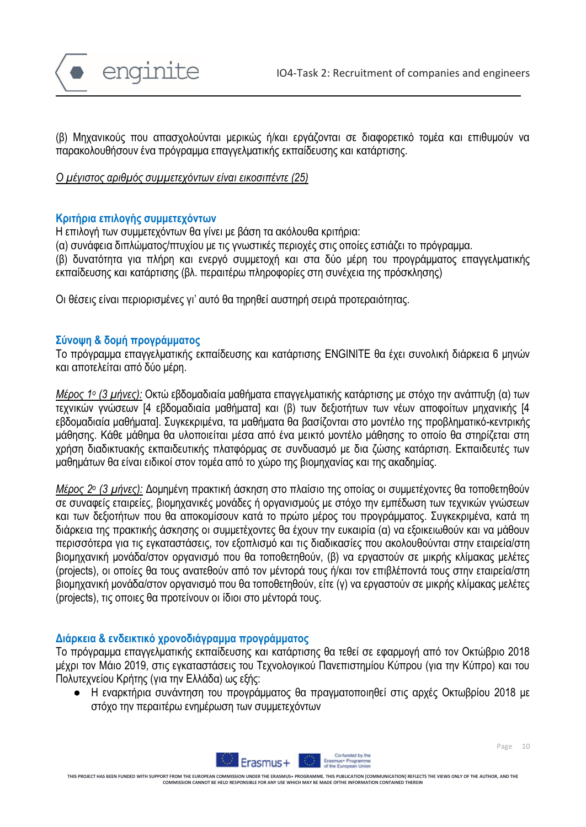

(β) Μηχανικούς που απασχολούνται μερικώς ή/και εργάζονται σε διαφορετικό τομέα και επιθυμούν να παρακολουθήσουν ένα πρόγραμμα επαγγελματικής εκπαίδευσης και κατάρτισης.

*Ο μέγιστος αριθμός συμμετεχόντων είναι εικοσιπέντε (25)* 

#### **Κριτήρια επιλογής συμμετεχόντων**

Η επιλογή των συμμετεχόντων θα γίνει με βάση τα ακόλουθα κριτήρια:

(α) συνάφεια διπλώματος/πτυχίου με τις γνωστικές περιοχές στις οποίες εστιάζει το πρόγραμμα.

(β) δυνατότητα για πλήρη και ενεργό συμμετοχή και στα δύο μέρη του προγράμματος επαγγελματικής εκπαίδευσης και κατάρτισης (βλ. περαιτέρω πληροφορίες στη συνέχεια της πρόσκλησης)

Οι θέσεις είναι περιορισμένες γι' αυτό θα τηρηθεί αυστηρή σειρά προτεραιότητας.

#### **Σύνοψη & δομή προγράμματος**

Το πρόγραμμα επαγγελματικής εκπαίδευσης και κατάρτισης ENGINITE θα έχει συνολική διάρκεια 6 μηνών και αποτελείται από δύο μέρη.

*Μέρος 1<sup>ο</sup> (3 μήνες):* Οκτώ εβδομαδιαία μαθήματα επαγγελματικής κατάρτισης με στόχο την ανάπτυξη (α) των τεχνικών γνώσεων [4 εβδομαδιαία μαθήματα] και (β) των δεξιοτήτων των νέων αποφοίτων μηχανικής [4 εβδομαδιαία μαθήματα]. Συγκεκριμένα, τα μαθήματα θα βασίζονται στο μοντέλο της προβληματικό-κεντρικής μάθησης. Κάθε μάθημα θα υλοποιείται μέσα από ένα μεικτό μοντέλο μάθησης το οποίο θα στηρίζεται στη χρήση διαδικτυακής εκπαιδευτικής πλατφόρμας σε συνδυασμό με δια ζώσης κατάρτιση. Εκπαιδευτές των μαθημάτων θα είναι ειδικοί στον τομέα από το χώρο της βιομηχανίας και της ακαδημίας.

*Μέρος 2<sup>ο</sup> (3 μήνες):* Δομημένη πρακτική άσκηση στο πλαίσιο της οποίας οι συμμετέχοντες θα τοποθετηθούν σε συναφείς εταιρείες, βιομηχανικές μονάδες ή οργανισμούς με στόχο την εμπέδωση των τεχνικών γνώσεων και των δεξιοτήτων που θα αποκομίσουν κατά το πρώτο μέρος του προγράμματος. Συγκεκριμένα, κατά τη διάρκεια της πρακτικής άσκησης οι συμμετέχοντες θα έχουν την ευκαιρία (α) να εξοικειωθούν και να μάθουν περισσότερα για τις εγκαταστάσεις, τον εξοπλισμό και τις διαδικασίες που ακολουθούνται στην εταιρεία/στη βιομηχανική μονάδα/στον οργανισμό που θα τοποθετηθούν, (β) να εργαστούν σε μικρής κλίμακας μελέτες (projects), οι οποίες θα τους ανατεθούν από τον μέντορά τους ή/και τον επιβλέποντά τους στην εταιρεία/στη βιομηχανική μονάδα/στον οργανισμό που θα τοποθετηθούν, είτε (γ) να εργαστούν σε μικρής κλίμακας μελέτες (projects), τις οποιες θα προτείνουν οι ίδιοι στο μέντορά τους.

#### **Διάρκεια & ενδεικτικό χρονοδιάγραμμα προγράμματος**

Το πρόγραμμα επαγγελματικής εκπαίδευσης και κατάρτισης θα τεθεί σε εφαρμογή από τον Οκτώβριο 2018 μέχρι τον Μάιο 2019, στις εγκαταστάσεις του Τεχνολογικού Πανεπιστημίου Κύπρου (για την Κύπρο) και του Πολυτεχνείου Κρήτης (για την Ελλάδα) ως εξής:

● Η εναρκτήρια συνάντηση του προγράμματος θα πραγματοποιηθεί στις αρχές Οκτωβρίου 2018 με στόχο την περαιτέρω ενημέρωση των συμμετεχόντων



Page 10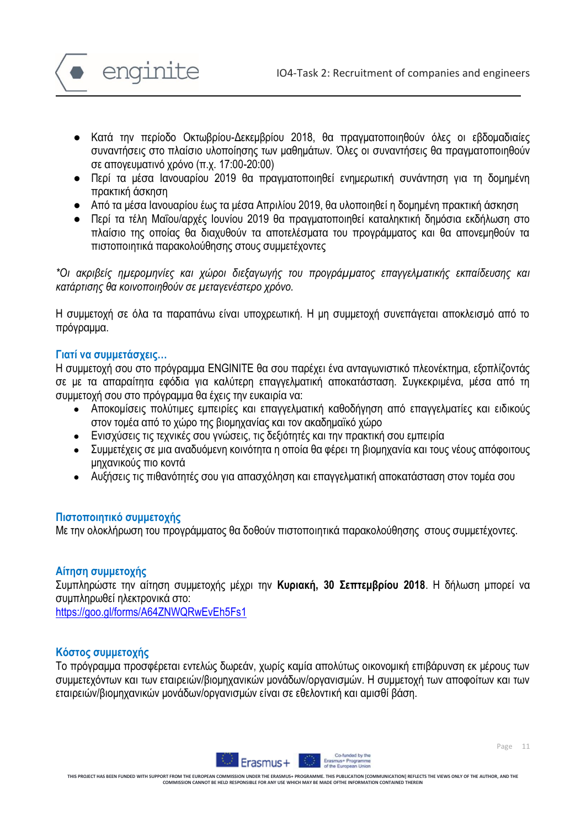

- Κατά την περίοδο Οκτωβρίου-Δεκεμβρίου 2018, θα πραγματοποιηθούν όλες οι εβδομαδιαίες συναντήσεις στο πλαίσιο υλοποίησης των μαθημάτων. Όλες οι συναντήσεις θα πραγματοποιηθούν σε απογευματινό χρόνο (π.χ. 17:00-20:00)
- Περί τα μέσα Ιανουαρίου 2019 θα πραγματοποιηθεί ενημερωτική συνάντηση για τη δομημένη πρακτική άσκηση
- Από τα μέσα Ιανουαρίου έως τα μέσα Απριλίου 2019, θα υλοποιηθεί η δομημένη πρακτική άσκηση
- Περί τα τέλη Μαΐου/αρχές Ιουνίου 2019 θα πραγματοποιηθεί καταληκτική δημόσια εκδήλωση στο πλαίσιο της οποίας θα διαχυθούν τα αποτελέσματα του προγράμματος και θα απονεμηθούν τα πιστοποιητικά παρακολούθησης στους συμμετέχοντες

*\*Οι ακριβείς ημερομηνίες και χώροι διεξαγωγής του προγράμματος επαγγελματικής εκπαίδευσης και κατάρτισης θα κοινοποιηθούν σε μεταγενέστερο χρόνο.* 

Η συμμετοχή σε όλα τα παραπάνω είναι υποχρεωτική. Η μη συμμετοχή συνεπάγεται αποκλεισμό από το πρόγραμμα.

### **Γιατί να συμμετάσχεις…**

Η συμμετοχή σου στο πρόγραμμα ENGINITE θα σου παρέχει ένα ανταγωνιστικό πλεονέκτημα, εξοπλίζοντάς σε με τα απαραίτητα εφόδια για καλύτερη επαγγελματική αποκατάσταση. Συγκεκριμένα, μέσα από τη συμμετοχή σου στο πρόγραμμα θα έχεις την ευκαιρία να:

- Αποκομίσεις πολύτιμες εμπειρίες και επαγγελματική καθοδήγηση από επαγγελματίες και ειδικούς στον τομέα από το χώρο της βιομηχανίας και τον ακαδημαϊκό χώρο
- Ενισχύσεις τις τεχνικές σου γνώσεις, τις δεξιότητές και την πρακτική σου εμπειρία
- Συμμετέχεις σε μια αναδυόμενη κοινότητα η οποία θα φέρει τη βιομηχανία και τους νέους απόφοιτους μηχανικούς πιο κοντά
- Αυξήσεις τις πιθανότητές σου για απασχόληση και επαγγελματική αποκατάσταση στον τομέα σου

#### **Πιστοποιητικό συμμετοχής**

Με την ολοκλήρωση του προγράμματος θα δοθούν πιστοποιητικά παρακολούθησης στους συμμετέχοντες.

# **Αίτηση συμμετοχής**

Συμπληρώστε την αίτηση συμμετοχής μέχρι την **Κυριακή, 30 Σεπτεμβρίου 2018**. Η δήλωση μπορεί να συμπληρωθεί ηλεκτρονικά στο:

<https://goo.gl/forms/A64ZNWQRwEvEh5Fs1>

# **Κόστος συμμετοχής**

Το πρόγραμμα προσφέρεται εντελώς δωρεάν, χωρίς καμία απολύτως οικονομική επιβάρυνση εκ μέρους των συμμετεχόντων και των εταιρειών/βιομηχανικών μονάδων/οργανισμών. Η συμμετοχή των αποφοίτων και των εταιρειών/βιομηχανικών μονάδων/οργανισμών είναι σε εθελοντική και αμισθί βάση.

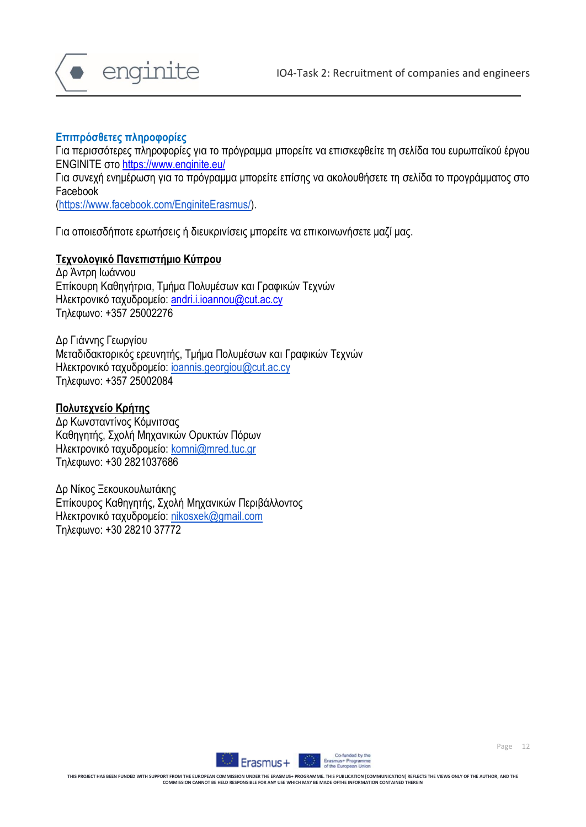



### **Επιπρόσθετες πληροφορίες**

Για περισσότερες πληροφορίες για το πρόγραμμα μπορείτε να επισκεφθείτε τη σελίδα του ευρωπαϊκού έργου ENGINITE στο <https://www.enginite.eu/>

Για συνεχή ενημέρωση για το πρόγραμμα μπορείτε επίσης να ακολουθήσετε τη σελίδα το προγράμματος στο Facebook

[\(https://www.facebook.com/EnginiteErasmus/\)](https://www.facebook.com/EnginiteErasmus/).

Για οποιεσδήποτε ερωτήσεις ή διευκρινίσεις μπορείτε να επικοινωνήσετε μαζί μας.

### **Τεχνολογικό Πανεπιστήμιο Κύπρου**

Δρ Άντρη Ιωάννου Επίκουρη Καθηγήτρια, Τμήμα Πολυμέσων και Γραφικών Τεχνών Ηλεκτρονικό ταχυδρομείο: [andri.i.ioannou@cut.ac.cy](mailto:andri.i.ioannou@cut.ac.cy) Τηλεφωνο: +357 25002276

Δρ Γιάννης Γεωργίου Μεταδιδακτορικός ερευνητής, Τμήμα Πολυμέσων και Γραφικών Τεχνών Ηλεκτρονικό ταχυδρομείο: [ioannis.georgiou@cut.ac.cy](mailto:ioannis.georgiou@cut.ac.cy) Τηλεφωνο: +357 25002084

# **Πολυτεχνείο Κρήτης**

Δρ Κωνσταντίνος Κόμνιτσας Καθηγητής, Σχολή Μηχανικών Ορυκτών Πόρων Ηλεκτρονικό ταχυδρομείο: [komni@mred.tuc.gr](mailto:komni@mred.tuc.gr) Τηλεφωνο: +30 2821037686

Δρ Νίκος Ξεκουκουλωτάκης Επίκουρος Καθηγητής, Σχολή Μηχανικών Περιβάλλοντος Ηλεκτρονικό ταχυδρομείο: [nikosxek@gmail.com](mailto:nikosxek@gmail.com) Τηλεφωνο: +30 28210 37772



Page 12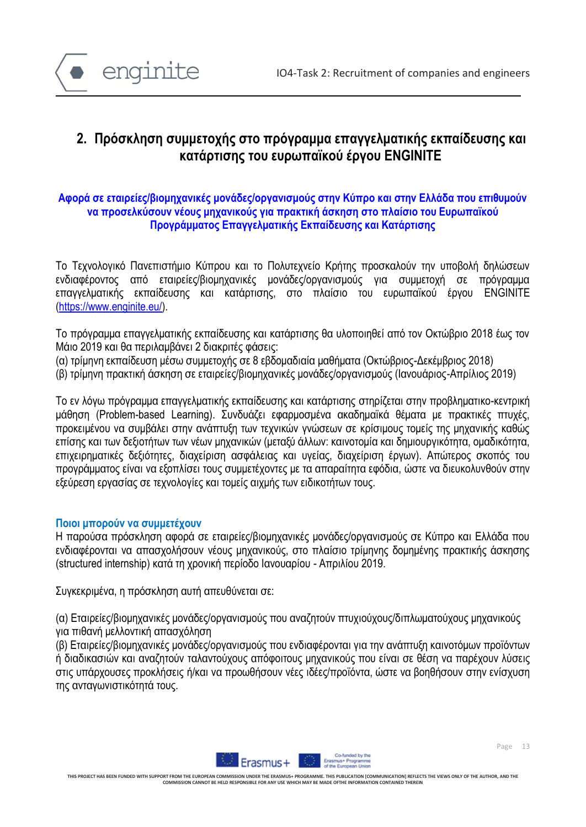

# **2. Πρόσκληση συμμετοχής στο πρόγραμμα επαγγελματικής εκπαίδευσης και κατάρτισης του ευρωπαϊκού έργου ENGINITE**

# **Αφορά σε εταιρείες/βιομηχανικές μονάδες/οργανισμούς στην Κύπρο και στην Ελλάδα που επιθυμούν να προσελκύσουν νέους μηχανικούς για πρακτική άσκηση στο πλαίσιο του Ευρωπαϊκού Προγράμματος Επαγγελματικής Εκπαίδευσης και Κατάρτισης**

Το Τεχνολογικό Πανεπιστήμιο Κύπρου και το Πολυτεχνείο Κρήτης προσκαλούν την υποβολή δηλώσεων ενδιαφέροντος από εταιρείες/βιομηχανικές μονάδες/οργανισμούς για συμμετοχή σε πρόγραμμα επαγγελματικής εκπαίδευσης και κατάρτισης, στο πλαίσιο του ευρωπαϊκού έργου ENGINITE [\(https://www.enginite.eu/\)](https://www.enginite.eu/).

Το πρόγραμμα επαγγελματικής εκπαίδευσης και κατάρτισης θα υλοποιηθεί από τον Οκτώβριο 2018 έως τον Μάιο 2019 και θα περιλαμβάνει 2 διακριτές φάσεις:

- (α) τρίμηνη εκπαίδευση μέσω συμμετοχής σε 8 εβδομαδιαία μαθήματα (Οκτώβριος-Δεκέμβριος 2018)
- (β) τρίμηνη πρακτική άσκηση σε εταιρείες/βιομηχανικές μονάδες/οργανισμούς (Ιανουάριος-Απρίλιος 2019)

Το εν λόγω πρόγραμμα επαγγελματικής εκπαίδευσης και κατάρτισης στηρίζεται στην προβληματικο-κεντρική μάθηση (Problem-based Learning). Συνδυάζει εφαρμοσμένα ακαδημαϊκά θέματα με πρακτικές πτυχές, προκειμένου να συμβάλει στην ανάπτυξη των τεχνικών γνώσεων σε κρίσιμους τομείς της μηχανικής καθώς επίσης και των δεξιοτήτων των νέων μηχανικών (μεταξύ άλλων: καινοτομία και δημιουργικότητα, ομαδικότητα, επιχειρηματικές δεξιότητες, διαχείριση ασφάλειας και υγείας, διαχείριση έργων). Απώτερος σκοπός του προγράμματος είναι να εξοπλίσει τους συμμετέχοντες με τα απαραίτητα εφόδια, ώστε να διευκολυνθούν στην εξεύρεση εργασίας σε τεχνολογίες και τομείς αιχμής των ειδικοτήτων τους.

#### **Ποιοι μπορούν να συμμετέχουν**

Η παρούσα πρόσκληση αφορά σε εταιρείες/βιομηχανικές μονάδες/οργανισμούς σε Κύπρο και Ελλάδα που ενδιαφέρονται να απασχολήσουν νέους μηχανικούς, στο πλαίσιο τρίμηνης δομημένης πρακτικής άσκησης (structured internship) κατά τη χρονική περίοδο Ιανουαρίου - Απριλίου 2019.

Συγκεκριμένα, η πρόσκληση αυτή απευθύνεται σε:

(α) Εταιρείες/βιομηχανικές μονάδες/οργανισμούς που αναζητούν πτυχιούχους/διπλωματούχους μηχανικούς για πιθανή μελλοντική απασχόληση

(β) Εταιρείες/βιομηχανικές μονάδες/οργανισμούς που ενδιαφέρονται για την ανάπτυξη καινοτόμων προϊόντων ή διαδικασιών και αναζητούν ταλαντούχους απόφοιτους μηχανικούς που είναι σε θέση να παρέχουν λύσεις στις υπάρχουσες προκλήσεις ή/και να προωθήσουν νέες ιδέες/προϊόντα, ώστε να βοηθήσουν στην ενίσχυση της ανταγωνιστικότητά τους.

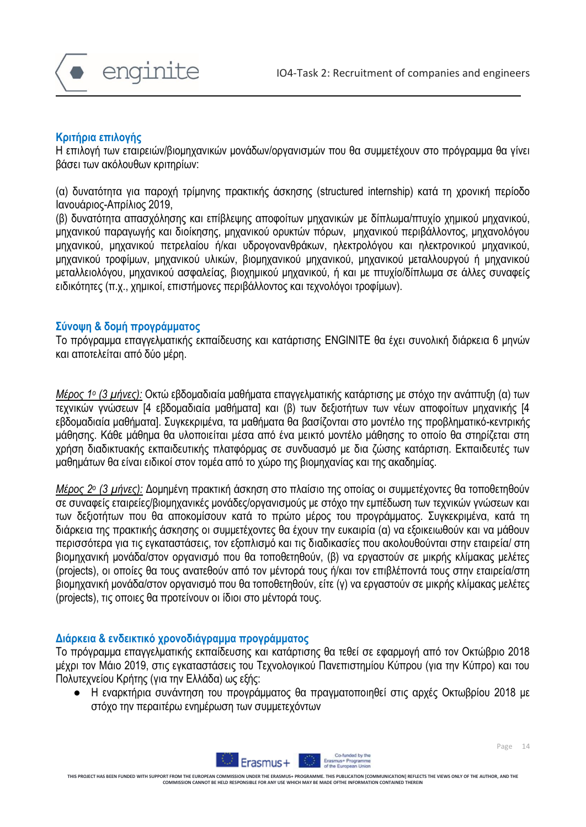

### **Κριτήρια επιλογής**

Η επιλογή των εταιρειών/βιομηχανικών μονάδων/οργανισμών που θα συμμετέχουν στο πρόγραμμα θα γίνει βάσει των ακόλουθων κριτηρίων:

(α) δυνατότητα για παροχή τρίμηνης πρακτικής άσκησης (structured internship) κατά τη χρονική περίοδο Ιανουάριος-Απρίλιος 2019,

(β) δυνατότητα απασχόλησης και επίβλεψης αποφοίτων μηχανικών με δίπλωμα/πτυχίο χημικού μηχανικού, μηχανικού παραγωγής και διοίκησης, μηχανικού ορυκτών πόρων, μηχανικού περιβάλλοντος, μηχανολόγου μηχανικού, μηχανικού πετρελαίου ή/και υδρογονανθράκων, ηλεκτρολόγου και ηλεκτρονικού μηχανικού, μηχανικού τροφίμων, μηχανικού υλικών, βιομηχανικού μηχανικού, μηχανικού μεταλλουργού ή μηχανικού μεταλλειολόγου, μηχανικού ασφαλείας, βιοχημικού μηχανικού, ή και με πτυχίο/δίπλωμα σε άλλες συναφείς ειδικότητες (π.χ., χημικοί, επιστήμονες περιβάλλοντος και τεχνολόγοι τροφίμων).

# **Σύνοψη & δομή προγράμματος**

Το πρόγραμμα επαγγελματικής εκπαίδευσης και κατάρτισης ENGINITE θα έχει συνολική διάρκεια 6 μηνών και αποτελείται από δύο μέρη.

*Μέρος 1<sup>ο</sup> (3 μήνες):* Οκτώ εβδομαδιαία μαθήματα επαγγελματικής κατάρτισης με στόχο την ανάπτυξη (α) των τεχνικών γνώσεων [4 εβδομαδιαία μαθήματα] και (β) των δεξιοτήτων των νέων αποφοίτων μηχανικής [4 εβδομαδιαία μαθήματα]. Συγκεκριμένα, τα μαθήματα θα βασίζονται στο μοντέλο της προβληματικό-κεντρικής μάθησης. Κάθε μάθημα θα υλοποιείται μέσα από ένα μεικτό μοντέλο μάθησης το οποίο θα στηρίζεται στη χρήση διαδικτυακής εκπαιδευτικής πλατφόρμας σε συνδυασμό με δια ζώσης κατάρτιση. Εκπαιδευτές των μαθημάτων θα είναι ειδικοί στον τομέα από το χώρο της βιομηχανίας και της ακαδημίας.

*Μέρος 2<sup>ο</sup> (3 μήνες):* Δομημένη πρακτική άσκηση στο πλαίσιο της οποίας οι συμμετέχοντες θα τοποθετηθούν σε συναφείς εταιρείες/βιομηχανικές μονάδες/οργανισμούς με στόχο την εμπέδωση των τεχνικών γνώσεων και των δεξιοτήτων που θα αποκομίσουν κατά το πρώτο μέρος του προγράμματος. Συγκεκριμένα, κατά τη διάρκεια της πρακτικής άσκησης οι συμμετέχοντες θα έχουν την ευκαιρία (α) να εξοικειωθούν και να μάθουν περισσότερα για τις εγκαταστάσεις, τον εξοπλισμό και τις διαδικασίες που ακολουθούνται στην εταιρεία/ στη βιομηχανική μονάδα/στον οργανισμό που θα τοποθετηθούν, (β) να εργαστούν σε μικρής κλίμακας μελέτες (projects), οι οποίες θα τους ανατεθούν από τον μέντορά τους ή/και τον επιβλέποντά τους στην εταιρεία/στη βιομηχανική μονάδα/στον οργανισμό που θα τοποθετηθούν, είτε (γ) να εργαστούν σε μικρής κλίμακας μελέτες (projects), τις οποιες θα προτείνουν οι ίδιοι στο μέντορά τους.

#### **Διάρκεια & ενδεικτικό χρονοδιάγραμμα προγράμματος**

Το πρόγραμμα επαγγελματικής εκπαίδευσης και κατάρτισης θα τεθεί σε εφαρμογή από τον Οκτώβριο 2018 μέχρι τον Μάιο 2019, στις εγκαταστάσεις του Τεχνολογικού Πανεπιστημίου Κύπρου (για την Κύπρο) και του Πολυτεχνείου Κρήτης (για την Ελλάδα) ως εξής:

● Η εναρκτήρια συνάντηση του προγράμματος θα πραγματοποιηθεί στις αρχές Οκτωβρίου 2018 με στόχο την περαιτέρω ενημέρωση των συμμετεχόντων

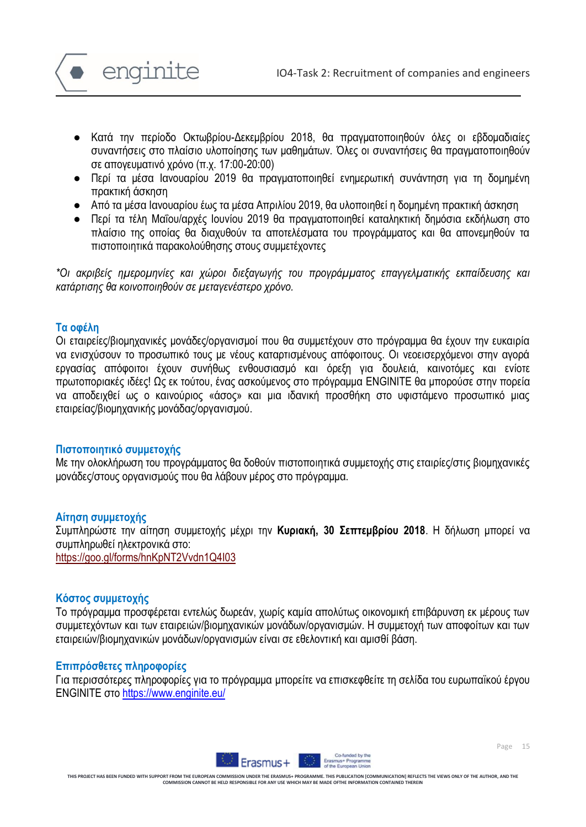

- Κατά την περίοδο Οκτωβρίου-Δεκεμβρίου 2018, θα πραγματοποιηθούν όλες οι εβδομαδιαίες συναντήσεις στο πλαίσιο υλοποίησης των μαθημάτων. Όλες οι συναντήσεις θα πραγματοποιηθούν σε απογευματινό χρόνο (π.χ. 17:00-20:00)
- Περί τα μέσα Ιανουαρίου 2019 θα πραγματοποιηθεί ενημερωτική συνάντηση για τη δομημένη πρακτική άσκηση
- Από τα μέσα Ιανουαρίου έως τα μέσα Απριλίου 2019, θα υλοποιηθεί η δομημένη πρακτική άσκηση
- Περί τα τέλη Μαΐου/αρχές Ιουνίου 2019 θα πραγματοποιηθεί καταληκτική δημόσια εκδήλωση στο πλαίσιο της οποίας θα διαχυθούν τα αποτελέσματα του προγράμματος και θα απονεμηθούν τα πιστοποιητικά παρακολούθησης στους συμμετέχοντες

*\*Οι ακριβείς ημερομηνίες και χώροι διεξαγωγής του προγράμματος επαγγελματικής εκπαίδευσης και κατάρτισης θα κοινοποιηθούν σε μεταγενέστερο χρόνο.* 

### **Τα οφέλη**

Οι εταιρείες/βιομηχανικές μονάδες/οργανισμοί που θα συμμετέχουν στο πρόγραμμα θα έχουν την ευκαιρία να ενισχύσουν το προσωπικό τους με νέους καταρτισμένους απόφοιτους. Οι νεοεισερχόμενοι στην αγορά εργασίας απόφοιτοι έχουν συνήθως ενθουσιασμό και όρεξη για δουλειά, καινοτόμες και ενίοτε πρωτοποριακές ιδέες! Ως εκ τούτου, ένας ασκούμενος στο πρόγραμμα ENGINITE θα μπορούσε στην πορεία να αποδειχθεί ως ο καινούριος «άσος» και μια ιδανική προσθήκη στο υφιστάμενο προσωπικό μιας εταιρείας/βιομηχανικής μονάδας/οργανισμού.

# **Πιστοποιητικό συμμετοχής**

Με την ολοκλήρωση του προγράμματος θα δοθούν πιστοποιητικά συμμετοχής στις εταιρίες/στις βιομηχανικές μονάδες/στους οργανισμούς που θα λάβουν μέρος στο πρόγραμμα.

#### **Αίτηση συμμετοχής**

Συμπληρώστε την αίτηση συμμετοχής μέχρι την **Κυριακή, 30 Σεπτεμβρίου 2018**. Η δήλωση μπορεί να συμπληρωθεί ηλεκτρονικά στο:

<https://goo.gl/forms/hnKpNT2Vvdn1Q4I03>

#### **Κόστος συμμετοχής**

Το πρόγραμμα προσφέρεται εντελώς δωρεάν, χωρίς καμία απολύτως οικονομική επιβάρυνση εκ μέρους των συμμετεχόντων και των εταιρειών/βιομηχανικών μονάδων/οργανισμών. Η συμμετοχή των αποφοίτων και των εταιρειών/βιομηχανικών μονάδων/οργανισμών είναι σε εθελοντική και αμισθί βάση.

#### **Επιπρόσθετες πληροφορίες**

Για περισσότερες πληροφορίες για το πρόγραμμα μπορείτε να επισκεφθείτε τη σελίδα του ευρωπαϊκού έργου ENGINITE στο <https://www.enginite.eu/>